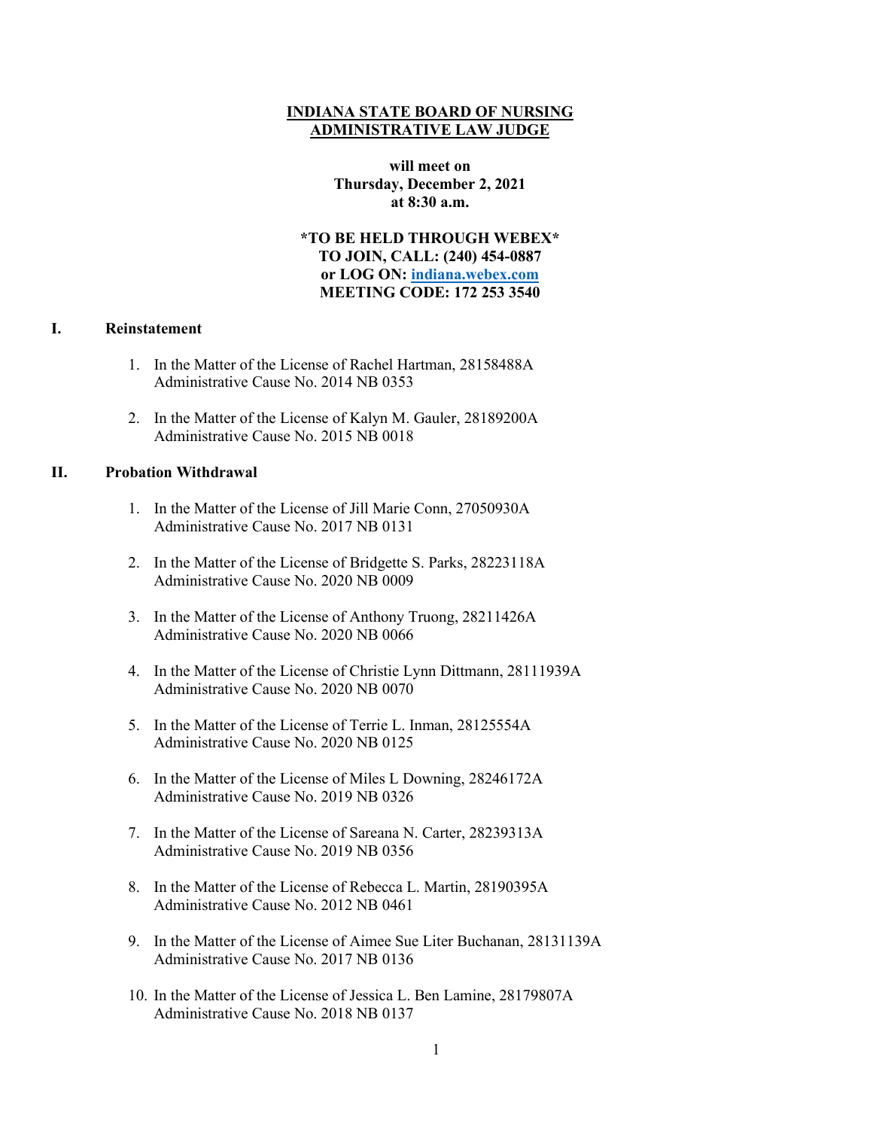### **INDIANA STATE BOARD OF NURSING ADMINISTRATIVE LAW JUDGE**

**will meet on Thursday, December 2, 2021 at 8:30 a.m.**

**\*TO BE HELD THROUGH WEBEX\* TO JOIN, CALL: (240) 454-0887 or LOG ON: [indiana.webex.com](https://indiana.webex.com/webappng/sites/indiana/dashboard?siteurl=indiana) MEETING CODE: 172 253 3540**

#### **I. Reinstatement**

- 1. In the Matter of the License of Rachel Hartman, 28158488A Administrative Cause No. 2014 NB 0353
- 2. In the Matter of the License of Kalyn M. Gauler, 28189200A Administrative Cause No. 2015 NB 0018

### **II. Probation Withdrawal**

- 1. In the Matter of the License of Jill Marie Conn, 27050930A Administrative Cause No. 2017 NB 0131
- 2. In the Matter of the License of Bridgette S. Parks, 28223118A Administrative Cause No. 2020 NB 0009
- 3. In the Matter of the License of Anthony Truong, 28211426A Administrative Cause No. 2020 NB 0066
- 4. In the Matter of the License of Christie Lynn Dittmann, 28111939A Administrative Cause No. 2020 NB 0070
- 5. In the Matter of the License of Terrie L. Inman, 28125554A Administrative Cause No. 2020 NB 0125
- 6. In the Matter of the License of Miles L Downing, 28246172A Administrative Cause No. 2019 NB 0326
- 7. In the Matter of the License of Sareana N. Carter, 28239313A Administrative Cause No. 2019 NB 0356
- 8. In the Matter of the License of Rebecca L. Martin, 28190395A Administrative Cause No. 2012 NB 0461
- 9. In the Matter of the License of Aimee Sue Liter Buchanan, 28131139A Administrative Cause No. 2017 NB 0136
- 10. In the Matter of the License of Jessica L. Ben Lamine, 28179807A Administrative Cause No. 2018 NB 0137